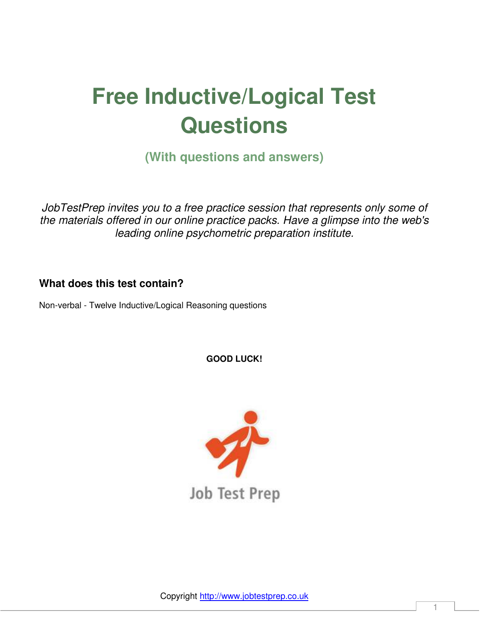# **Free Inductive/Logical Test Questions**

**(With questions and answers)** 

*JobTestPrep invites you to a free practice session that represents only some of the materials offered in our online practice packs. Have a glimpse into the web's leading online psychometric preparation institute.* 

#### **What does this test contain?**

Non-verbal - Twelve Inductive/Logical Reasoning questions

**GOOD LUCK!** 



Copyright [http://www.jobtestprep.co.uk](http://www.jobtestprep.co.uk/)

1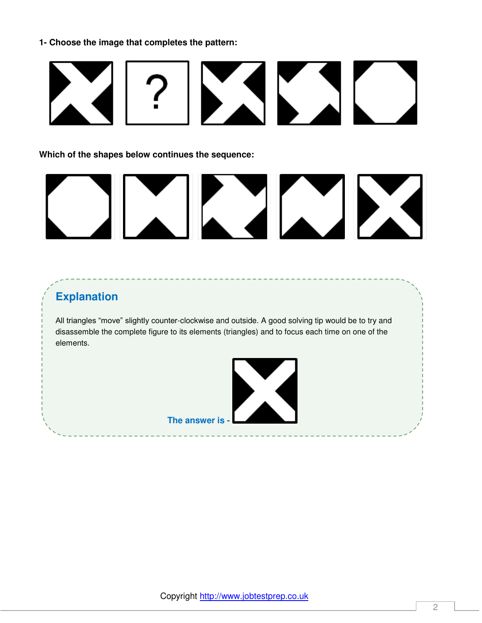

**Which of the shapes below continues the sequence:** 



#### **Explanation**

All triangles "move" slightly counter-clockwise and outside. A good solving tip would be to try and disassemble the complete figure to its elements (triangles) and to focus each time on one of the elements.

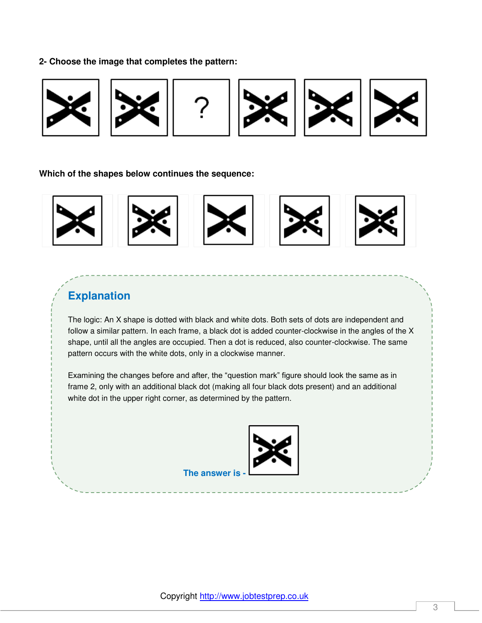

**Which of the shapes below continues the sequence:** 



### **Explanation**

The logic: An X shape is dotted with black and white dots. Both sets of dots are independent and follow a similar pattern. In each frame, a black dot is added counter-clockwise in the angles of the X shape, until all the angles are occupied. Then a dot is reduced, also counter-clockwise. The same pattern occurs with the white dots, only in a clockwise manner.

Examining the changes before and after, the "question mark" figure should look the same as in frame 2, only with an additional black dot (making all four black dots present) and an additional white dot in the upper right corner, as determined by the pattern.



**The answer is**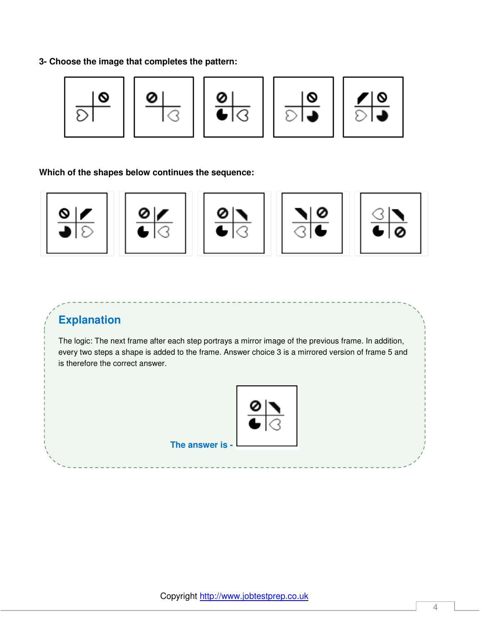

**Which of the shapes below continues the sequence:** 



#### **Explanation**

The logic: The next frame after each step portrays a mirror image of the previous frame. In addition, every two steps a shape is added to the frame. Answer choice 3 is a mirrored version of frame 5 and is therefore the correct answer.

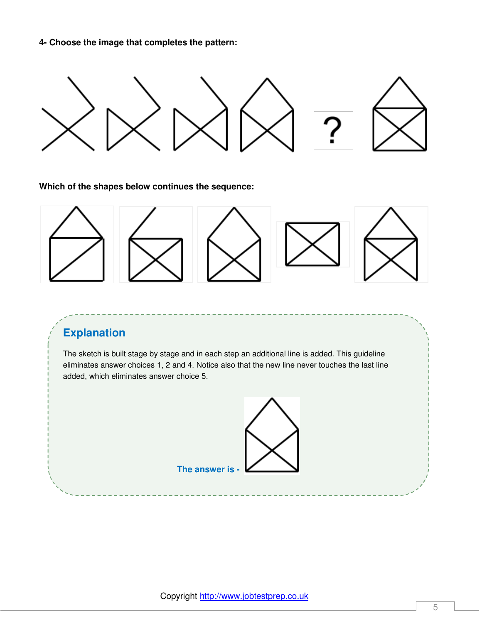

**Which of the shapes below continues the sequence:** 



# **Explanation**

The sketch is built stage by stage and in each step an additional line is added. This guideline eliminates answer choices 1, 2 and 4. Notice also that the new line never touches the last line added, which eliminates answer choice 5.



Copyright [http://www.jobtestprep.co.uk](http://www.jobtestprep.co.uk/)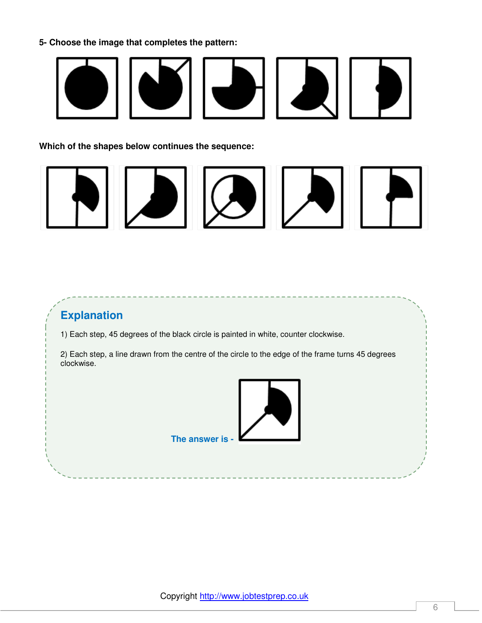

**Which of the shapes below continues the sequence:**



# **Explanation**

1) Each step, 45 degrees of the black circle is painted in white, counter clockwise.

2) Each step, a line drawn from the centre of the circle to the edge of the frame turns 45 degrees clockwise.



**The answer is -**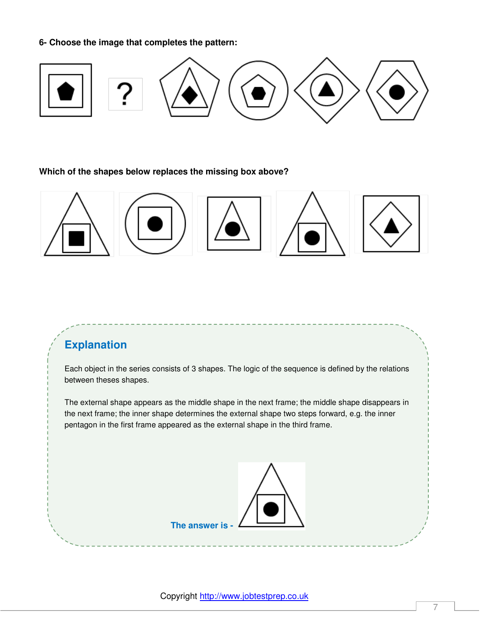

**Which of the shapes below replaces the missing box above?**



# **Explanation**

Each object in the series consists of 3 shapes. The logic of the sequence is defined by the relations between theses shapes.

The external shape appears as the middle shape in the next frame; the middle shape disappears in the next frame; the inner shape determines the external shape two steps forward, e.g. the inner pentagon in the first frame appeared as the external shape in the third frame.

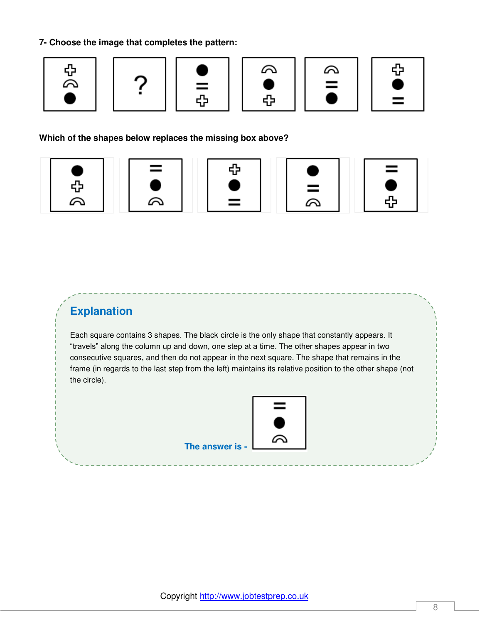











**Which of the shapes below replaces the missing box above?** 











## **Explanation**

Each square contains 3 shapes. The black circle is the only shape that constantly appears. It "travels" along the column up and down, one step at a time. The other shapes appear in two consecutive squares, and then do not appear in the next square. The shape that remains in the frame (in regards to the last step from the left) maintains its relative position to the other shape (not the circle).

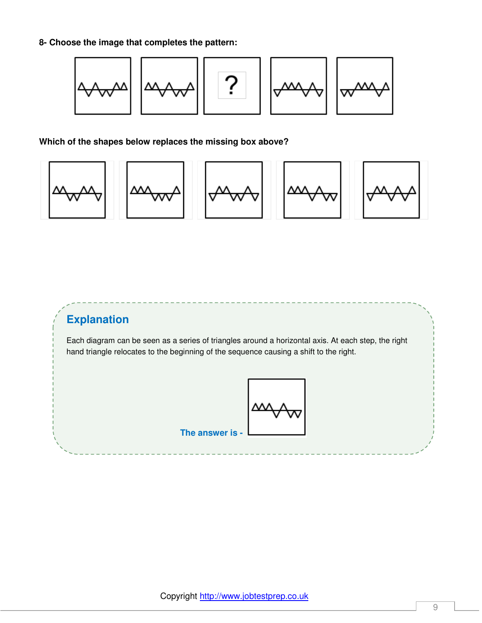**8- Choose the image that completes the pattern:** 



#### **Which of the shapes below replaces the missing box above?**



# **Explanation**

Each diagram can be seen as a series of triangles around a horizontal axis. At each step, the right hand triangle relocates to the beginning of the sequence causing a shift to the right.



**The answer is -**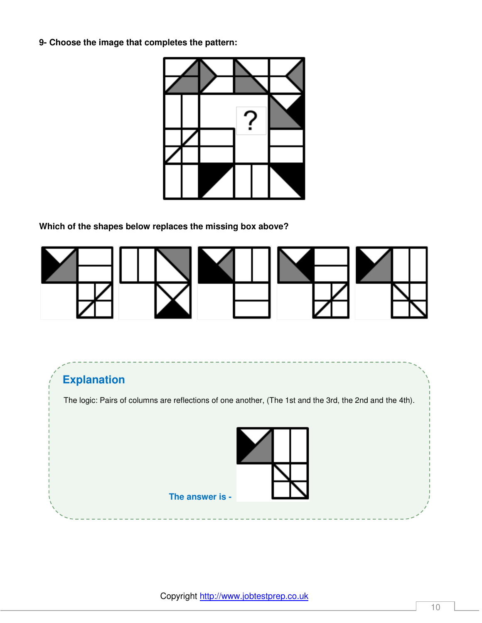

**Which of the shapes below replaces the missing box above?**



# **Explanation**

The logic: Pairs of columns are reflections of one another, (The 1st and the 3rd, the 2nd and the 4th).

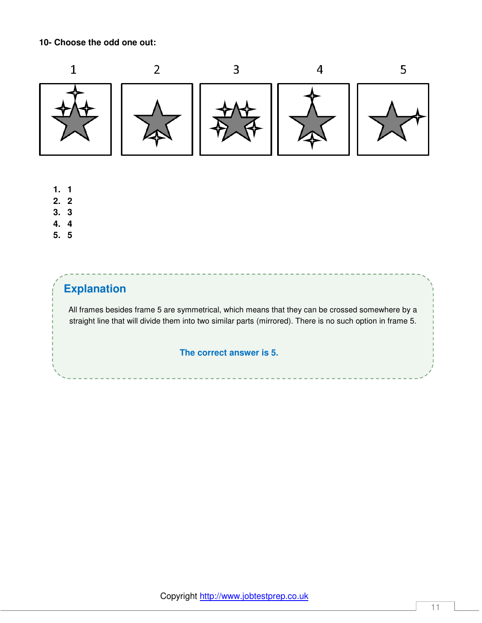**10- Choose the odd one out:** 



- **1. 1**
- **2. 2**
- **3. 3**
- **4. 4**
- **5. 5**

# **Explanation**

All frames besides frame 5 are symmetrical, which means that they can be crossed somewhere by a straight line that will divide them into two similar parts (mirrored). There is no such option in frame 5.

#### **The correct answer is 5.**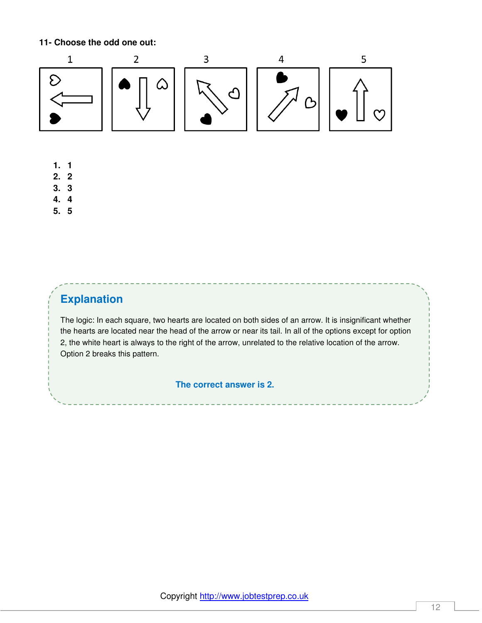**11- Choose the odd one out:**



- **1. 1**
- **2. 2**
- **3. 3**
- **4. 4**
- **5. 5**

# **Explanation**

The logic: In each square, two hearts are located on both sides of an arrow. It is insignificant whether the hearts are located near the head of the arrow or near its tail. In all of the options except for option 2, the white heart is always to the right of the arrow, unrelated to the relative location of the arrow. Option 2 breaks this pattern.

#### **The correct answer is 2.**